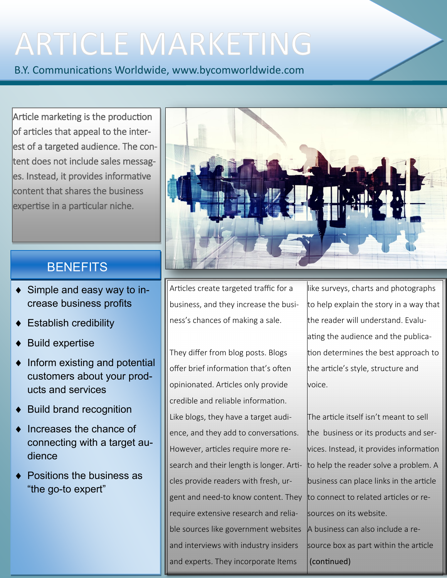# **ARTICLE MARKETING**

B.Y. Communications Worldwide, www.bycomworldwide.com

Article marketing is the production of articles that appeal to the interest of a targeted audience. The content does not include sales messages. Instead, it provides informative content that shares the business expertise in a particular niche.

### **BENEFITS**

- Simple and easy way to increase business profits
- Establish credibility
- Build expertise
- $\bullet$  Inform existing and potential customers about your products and services
- Build brand recognition
- Increases the chance of connecting with a target audience
- Positions the business as "the go-to expert"



Articles create targeted traffic for a business, and they increase the business's chances of making a sale.

They differ from blog posts. Blogs offer brief information that's often opinionated. Articles only provide credible and reliable information. Like blogs, they have a target audience, and they add to conversations. However, articles require more research and their length is longer. Articles provide readers with fresh, urgent and need-to know content. They require extensive research and reliable sources like government websites and interviews with industry insiders and experts. They incorporate Items

like surveys, charts and photographs to help explain the story in a way that the reader will understand. Evaluating the audience and the publication determines the best approach to the article's style, structure and voice.

The article itself isn't meant to sell the business or its products and services. Instead, it provides information to help the reader solve a problem. A business can place links in the article to connect to related articles or resources on its website. A business can also include a resource box as part within the article (continued)